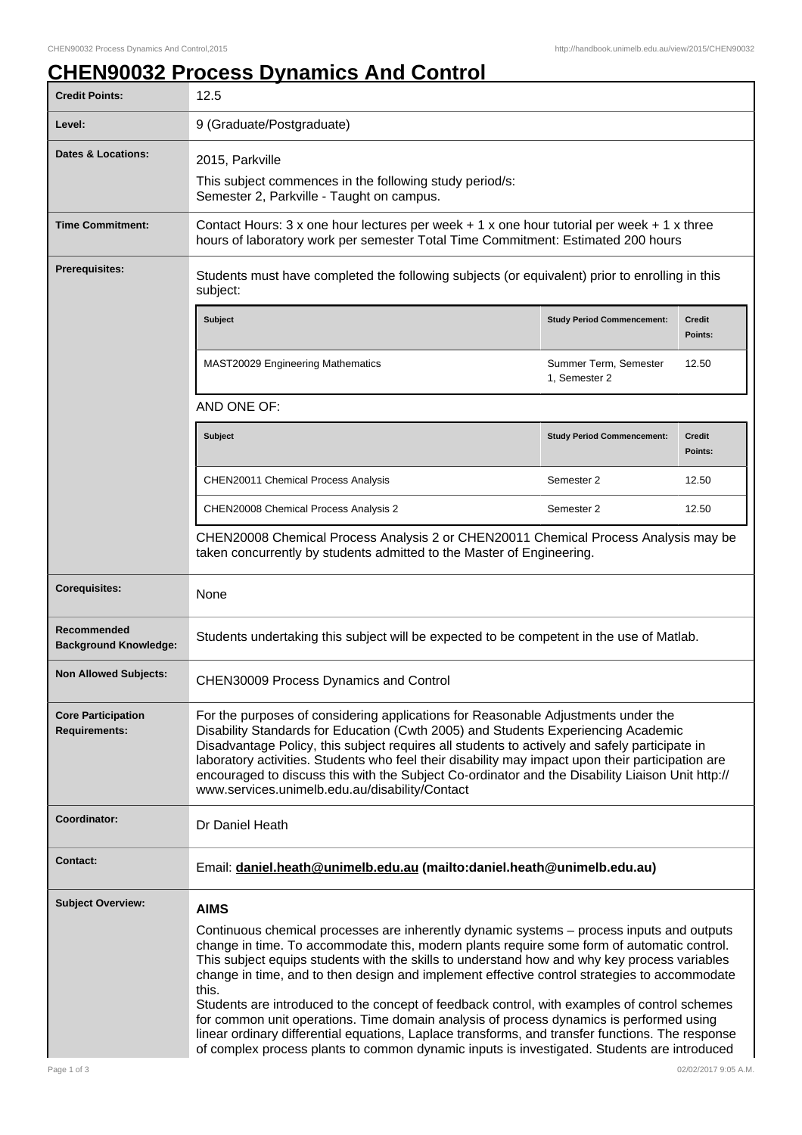## **CHEN90032 Process Dynamics And Control**

| <b>Credit Points:</b>                             | 12.5                                                                                                                                                                                                                                                                                                                                                                                                                                                                                                                                                                                                                                                                                                                                                                                                          |                                        |                          |  |
|---------------------------------------------------|---------------------------------------------------------------------------------------------------------------------------------------------------------------------------------------------------------------------------------------------------------------------------------------------------------------------------------------------------------------------------------------------------------------------------------------------------------------------------------------------------------------------------------------------------------------------------------------------------------------------------------------------------------------------------------------------------------------------------------------------------------------------------------------------------------------|----------------------------------------|--------------------------|--|
| Level:                                            | 9 (Graduate/Postgraduate)                                                                                                                                                                                                                                                                                                                                                                                                                                                                                                                                                                                                                                                                                                                                                                                     |                                        |                          |  |
| <b>Dates &amp; Locations:</b>                     | 2015, Parkville<br>This subject commences in the following study period/s:<br>Semester 2, Parkville - Taught on campus.                                                                                                                                                                                                                                                                                                                                                                                                                                                                                                                                                                                                                                                                                       |                                        |                          |  |
| <b>Time Commitment:</b>                           | Contact Hours: 3 x one hour lectures per week + 1 x one hour tutorial per week + 1 x three<br>hours of laboratory work per semester Total Time Commitment: Estimated 200 hours                                                                                                                                                                                                                                                                                                                                                                                                                                                                                                                                                                                                                                |                                        |                          |  |
| <b>Prerequisites:</b>                             | Students must have completed the following subjects (or equivalent) prior to enrolling in this<br>subject:                                                                                                                                                                                                                                                                                                                                                                                                                                                                                                                                                                                                                                                                                                    |                                        |                          |  |
|                                                   | <b>Subject</b>                                                                                                                                                                                                                                                                                                                                                                                                                                                                                                                                                                                                                                                                                                                                                                                                | <b>Study Period Commencement:</b>      | <b>Credit</b><br>Points: |  |
|                                                   | MAST20029 Engineering Mathematics                                                                                                                                                                                                                                                                                                                                                                                                                                                                                                                                                                                                                                                                                                                                                                             | Summer Term, Semester<br>1, Semester 2 | 12.50                    |  |
|                                                   | AND ONE OF:                                                                                                                                                                                                                                                                                                                                                                                                                                                                                                                                                                                                                                                                                                                                                                                                   |                                        |                          |  |
|                                                   | <b>Subject</b>                                                                                                                                                                                                                                                                                                                                                                                                                                                                                                                                                                                                                                                                                                                                                                                                | <b>Study Period Commencement:</b>      | <b>Credit</b><br>Points: |  |
|                                                   | CHEN20011 Chemical Process Analysis                                                                                                                                                                                                                                                                                                                                                                                                                                                                                                                                                                                                                                                                                                                                                                           | Semester 2                             | 12.50                    |  |
|                                                   | CHEN20008 Chemical Process Analysis 2                                                                                                                                                                                                                                                                                                                                                                                                                                                                                                                                                                                                                                                                                                                                                                         | Semester 2                             | 12.50                    |  |
|                                                   | CHEN20008 Chemical Process Analysis 2 or CHEN20011 Chemical Process Analysis may be<br>taken concurrently by students admitted to the Master of Engineering.                                                                                                                                                                                                                                                                                                                                                                                                                                                                                                                                                                                                                                                  |                                        |                          |  |
| <b>Corequisites:</b>                              | None                                                                                                                                                                                                                                                                                                                                                                                                                                                                                                                                                                                                                                                                                                                                                                                                          |                                        |                          |  |
| Recommended<br><b>Background Knowledge:</b>       | Students undertaking this subject will be expected to be competent in the use of Matlab.                                                                                                                                                                                                                                                                                                                                                                                                                                                                                                                                                                                                                                                                                                                      |                                        |                          |  |
| <b>Non Allowed Subjects:</b>                      | <b>CHEN30009 Process Dynamics and Control</b>                                                                                                                                                                                                                                                                                                                                                                                                                                                                                                                                                                                                                                                                                                                                                                 |                                        |                          |  |
| <b>Core Participation</b><br><b>Requirements:</b> | For the purposes of considering applications for Reasonable Adjustments under the<br>Disability Standards for Education (Cwth 2005) and Students Experiencing Academic<br>Disadvantage Policy, this subject requires all students to actively and safely participate in<br>laboratory activities. Students who feel their disability may impact upon their participation are<br>encouraged to discuss this with the Subject Co-ordinator and the Disability Liaison Unit http://<br>www.services.unimelb.edu.au/disability/Contact                                                                                                                                                                                                                                                                            |                                        |                          |  |
| Coordinator:                                      | Dr Daniel Heath                                                                                                                                                                                                                                                                                                                                                                                                                                                                                                                                                                                                                                                                                                                                                                                               |                                        |                          |  |
| <b>Contact:</b>                                   | Email: daniel.heath@unimelb.edu.au (mailto:daniel.heath@unimelb.edu.au)                                                                                                                                                                                                                                                                                                                                                                                                                                                                                                                                                                                                                                                                                                                                       |                                        |                          |  |
| <b>Subject Overview:</b>                          | <b>AIMS</b><br>Continuous chemical processes are inherently dynamic systems - process inputs and outputs<br>change in time. To accommodate this, modern plants require some form of automatic control.<br>This subject equips students with the skills to understand how and why key process variables<br>change in time, and to then design and implement effective control strategies to accommodate<br>this.<br>Students are introduced to the concept of feedback control, with examples of control schemes<br>for common unit operations. Time domain analysis of process dynamics is performed using<br>linear ordinary differential equations, Laplace transforms, and transfer functions. The response<br>of complex process plants to common dynamic inputs is investigated. Students are introduced |                                        |                          |  |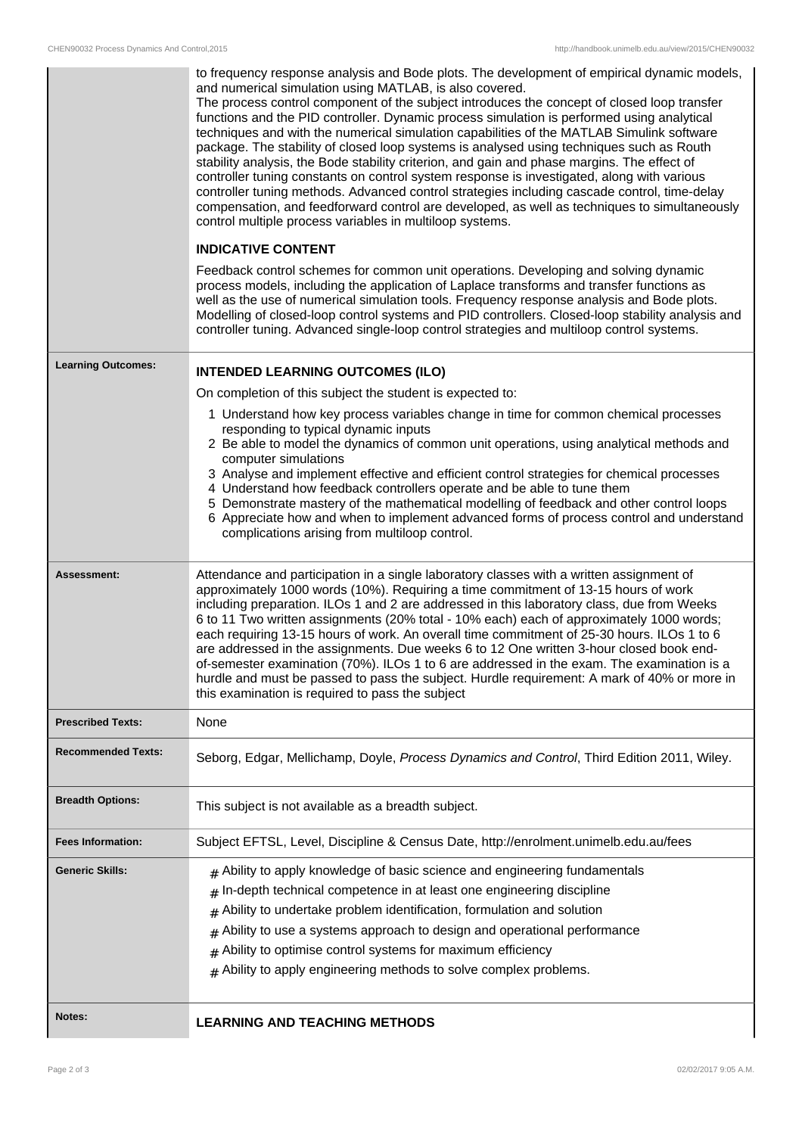|                           | to frequency response analysis and Bode plots. The development of empirical dynamic models,<br>and numerical simulation using MATLAB, is also covered.<br>The process control component of the subject introduces the concept of closed loop transfer<br>functions and the PID controller. Dynamic process simulation is performed using analytical<br>techniques and with the numerical simulation capabilities of the MATLAB Simulink software<br>package. The stability of closed loop systems is analysed using techniques such as Routh<br>stability analysis, the Bode stability criterion, and gain and phase margins. The effect of<br>controller tuning constants on control system response is investigated, along with various<br>controller tuning methods. Advanced control strategies including cascade control, time-delay<br>compensation, and feedforward control are developed, as well as techniques to simultaneously<br>control multiple process variables in multiloop systems.<br><b>INDICATIVE CONTENT</b><br>Feedback control schemes for common unit operations. Developing and solving dynamic<br>process models, including the application of Laplace transforms and transfer functions as<br>well as the use of numerical simulation tools. Frequency response analysis and Bode plots.<br>Modelling of closed-loop control systems and PID controllers. Closed-loop stability analysis and<br>controller tuning. Advanced single-loop control strategies and multiloop control systems. |  |
|---------------------------|-----------------------------------------------------------------------------------------------------------------------------------------------------------------------------------------------------------------------------------------------------------------------------------------------------------------------------------------------------------------------------------------------------------------------------------------------------------------------------------------------------------------------------------------------------------------------------------------------------------------------------------------------------------------------------------------------------------------------------------------------------------------------------------------------------------------------------------------------------------------------------------------------------------------------------------------------------------------------------------------------------------------------------------------------------------------------------------------------------------------------------------------------------------------------------------------------------------------------------------------------------------------------------------------------------------------------------------------------------------------------------------------------------------------------------------------------------------------------------------------------------------------------|--|
| <b>Learning Outcomes:</b> | <b>INTENDED LEARNING OUTCOMES (ILO)</b>                                                                                                                                                                                                                                                                                                                                                                                                                                                                                                                                                                                                                                                                                                                                                                                                                                                                                                                                                                                                                                                                                                                                                                                                                                                                                                                                                                                                                                                                               |  |
|                           | On completion of this subject the student is expected to:                                                                                                                                                                                                                                                                                                                                                                                                                                                                                                                                                                                                                                                                                                                                                                                                                                                                                                                                                                                                                                                                                                                                                                                                                                                                                                                                                                                                                                                             |  |
|                           | 1 Understand how key process variables change in time for common chemical processes<br>responding to typical dynamic inputs<br>2 Be able to model the dynamics of common unit operations, using analytical methods and<br>computer simulations<br>3 Analyse and implement effective and efficient control strategies for chemical processes<br>4 Understand how feedback controllers operate and be able to tune them<br>5 Demonstrate mastery of the mathematical modelling of feedback and other control loops<br>6 Appreciate how and when to implement advanced forms of process control and understand<br>complications arising from multiloop control.                                                                                                                                                                                                                                                                                                                                                                                                                                                                                                                                                                                                                                                                                                                                                                                                                                                          |  |
| Assessment:               | Attendance and participation in a single laboratory classes with a written assignment of<br>approximately 1000 words (10%). Requiring a time commitment of 13-15 hours of work<br>including preparation. ILOs 1 and 2 are addressed in this laboratory class, due from Weeks<br>6 to 11 Two written assignments (20% total - 10% each) each of approximately 1000 words;<br>each requiring 13-15 hours of work. An overall time commitment of 25-30 hours. ILOs 1 to 6<br>are addressed in the assignments. Due weeks 6 to 12 One written 3-hour closed book end-<br>of-semester examination (70%). ILOs 1 to 6 are addressed in the exam. The examination is a<br>hurdle and must be passed to pass the subject. Hurdle requirement: A mark of 40% or more in<br>this examination is required to pass the subject                                                                                                                                                                                                                                                                                                                                                                                                                                                                                                                                                                                                                                                                                                    |  |
| <b>Prescribed Texts:</b>  | None                                                                                                                                                                                                                                                                                                                                                                                                                                                                                                                                                                                                                                                                                                                                                                                                                                                                                                                                                                                                                                                                                                                                                                                                                                                                                                                                                                                                                                                                                                                  |  |
| <b>Recommended Texts:</b> | Seborg, Edgar, Mellichamp, Doyle, Process Dynamics and Control, Third Edition 2011, Wiley.                                                                                                                                                                                                                                                                                                                                                                                                                                                                                                                                                                                                                                                                                                                                                                                                                                                                                                                                                                                                                                                                                                                                                                                                                                                                                                                                                                                                                            |  |
| <b>Breadth Options:</b>   | This subject is not available as a breadth subject.                                                                                                                                                                                                                                                                                                                                                                                                                                                                                                                                                                                                                                                                                                                                                                                                                                                                                                                                                                                                                                                                                                                                                                                                                                                                                                                                                                                                                                                                   |  |
| <b>Fees Information:</b>  | Subject EFTSL, Level, Discipline & Census Date, http://enrolment.unimelb.edu.au/fees                                                                                                                                                                                                                                                                                                                                                                                                                                                                                                                                                                                                                                                                                                                                                                                                                                                                                                                                                                                                                                                                                                                                                                                                                                                                                                                                                                                                                                  |  |
| <b>Generic Skills:</b>    | $#$ Ability to apply knowledge of basic science and engineering fundamentals<br>In-depth technical competence in at least one engineering discipline<br>#<br>Ability to undertake problem identification, formulation and solution<br>#<br>Ability to use a systems approach to design and operational performance<br>#<br>Ability to optimise control systems for maximum efficiency<br>$\#$<br>$#$ Ability to apply engineering methods to solve complex problems.                                                                                                                                                                                                                                                                                                                                                                                                                                                                                                                                                                                                                                                                                                                                                                                                                                                                                                                                                                                                                                                  |  |
| Notes:                    | <b>LEARNING AND TEACHING METHODS</b>                                                                                                                                                                                                                                                                                                                                                                                                                                                                                                                                                                                                                                                                                                                                                                                                                                                                                                                                                                                                                                                                                                                                                                                                                                                                                                                                                                                                                                                                                  |  |